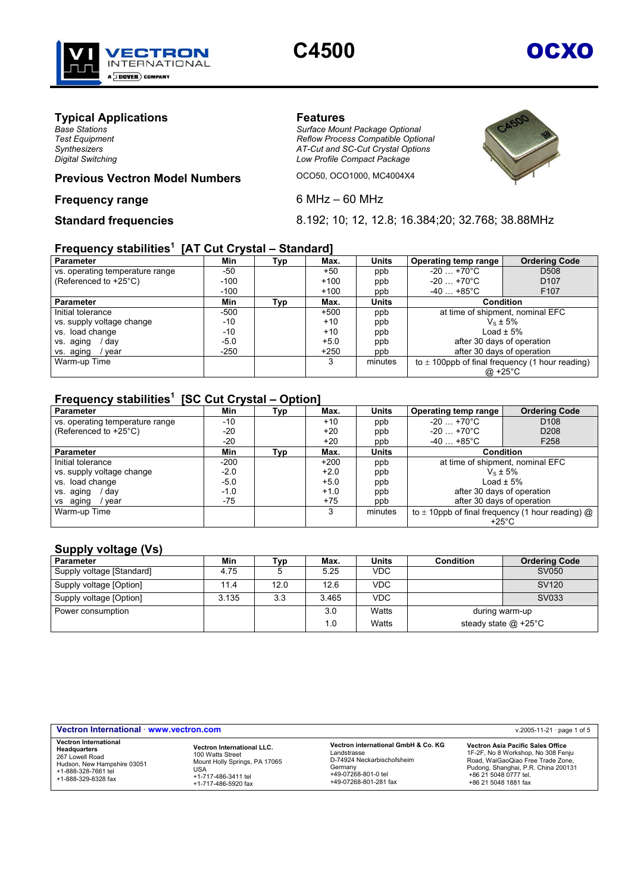

# **C4500** OCXO

## **Typical Applications**<br> **Example 20 Base Stations**<br>
Surface Moun

*Base Stations Surface Mount Package Optional Test Equipment Reflow Process Compatible Optional Synthesizers AT-Cut and SC-Cut Crystal Options Digital Switching Low Profile Compact Package* 



## **Previous Vectron Model Numbers OCO50, OCO1000, MC4004X4**

#### **Frequency range** 6 MHz – 60 MHz

**Standard frequencies** 8.192; 10; 12, 12.8; 16.384;20; 32.768; 38.88MHz

#### **Frequency stabilities<sup>1</sup> [AT Cut Crystal – Standard]**

| <b>Parameter</b>                | Min    | Typ | Max.   | <b>Units</b> | Operating temp range                                | <b>Ordering Code</b>             |
|---------------------------------|--------|-----|--------|--------------|-----------------------------------------------------|----------------------------------|
| vs. operating temperature range | -50    |     | $+50$  | ppb          | $-20+70^{\circ}C$                                   | D <sub>508</sub>                 |
| (Referenced to +25°C)           | $-100$ |     | $+100$ | ppb          | $-20$ $+70^{\circ}$ C                               | D <sub>107</sub>                 |
|                                 | $-100$ |     | $+100$ | ppb          | $-40+85^{\circ}$ C                                  | F <sub>107</sub>                 |
| <b>Parameter</b>                | Min    | Тур | Max.   | <b>Units</b> | <b>Condition</b>                                    |                                  |
| Initial tolerance               | $-500$ |     | $+500$ | ppb          |                                                     | at time of shipment, nominal EFC |
| vs. supply voltage change       | $-10$  |     | $+10$  | ppb          |                                                     | $V_s \pm 5\%$                    |
| vs. load change                 | $-10$  |     | $+10$  | ppb          |                                                     | Load $\pm$ 5%                    |
| vs. aging<br>dav                | $-5.0$ |     | $+5.0$ | ppb          | after 30 days of operation                          |                                  |
| vs. aging<br>vear               | $-250$ |     | $+250$ | ppb          | after 30 days of operation                          |                                  |
| Warm-up Time                    |        |     | 3      | minutes      | to $\pm$ 100ppb of final frequency (1 hour reading) |                                  |
|                                 |        |     |        |              | @ +25 $^{\circ}$ C                                  |                                  |

#### **Frequency stabilities<sup>1</sup> [SC Cut Crystal – Option]**

| <b>Parameter</b>                | Min    | Тур | Max.   | <b>Units</b> | Operating temp range                                        | <b>Ordering Code</b> |
|---------------------------------|--------|-----|--------|--------------|-------------------------------------------------------------|----------------------|
| vs. operating temperature range | $-10$  |     | $+10$  | ppb          | $-20$ $+70^{\circ}$ C                                       | D <sub>108</sub>     |
| (Referenced to +25°C)           | $-20$  |     | $+20$  | ppb          | $-20$ $+70^{\circ}$ C                                       | D <sub>208</sub>     |
|                                 | $-20$  |     | $+20$  | ppb          | $-40+85^{\circ}C$                                           | F <sub>258</sub>     |
| <b>Parameter</b>                | Min    | Typ | Max.   | <b>Units</b> | <b>Condition</b>                                            |                      |
| Initial tolerance               | $-200$ |     | $+200$ | ppb          | at time of shipment, nominal EFC                            |                      |
| vs. supply voltage change       | $-2.0$ |     | $+2.0$ | ppb          | $V_s \pm 5\%$                                               |                      |
| vs. load change                 | $-5.0$ |     | $+5.0$ | ppb          | Load $\pm$ 5%                                               |                      |
| vs. aging<br>dav                | $-1.0$ |     | $+1.0$ | ppb          | after 30 days of operation                                  |                      |
| vs aging<br>vear                | $-75$  |     | $+75$  | ppb          | after 30 days of operation                                  |                      |
| Warm-up Time                    |        |     | 3      | minutes      | to $\pm$ 10ppb of final frequency (1 hour reading) $\omega$ |                      |
|                                 |        |     |        |              | +25 $^{\circ}$ C                                            |                      |

#### **Supply voltage (Vs)**

| Parameter                 | Min   | 'vp  | Max.  | Units      | <b>Condition</b> | <b>Ordering Code</b>   |
|---------------------------|-------|------|-------|------------|------------------|------------------------|
| Supply voltage [Standard] | 4.75  |      | 5.25  | <b>VDC</b> |                  | SV050                  |
| Supply voltage [Option]   | 11.4  | 12.0 | 12.6  | <b>VDC</b> |                  | SV <sub>120</sub>      |
| Supply voltage [Option]   | 3.135 | 3.3  | 3.465 | <b>VDC</b> |                  | SV033                  |
| Power consumption         |       |      | 3.0   | Watts      |                  | during warm-up         |
|                           |       |      | 1.0   | Watts      |                  | steady state $@$ +25°C |

| Vectron International · www.vectron.com                                                                                                      |                                                                                                                                             |                                                                                                                                             | v.2005-11-21 $\cdot$ page 1 of 5                                                                                                                                                                     |
|----------------------------------------------------------------------------------------------------------------------------------------------|---------------------------------------------------------------------------------------------------------------------------------------------|---------------------------------------------------------------------------------------------------------------------------------------------|------------------------------------------------------------------------------------------------------------------------------------------------------------------------------------------------------|
| <b>Vectron International</b><br>Headquarters<br>267 Lowell Road<br>Hudson, New Hampshire 03051<br>+1-888-328-7661 tel<br>+1-888-329-8328 fax | <b>Vectron International LLC.</b><br>100 Watts Street<br>Mount Holly Springs, PA 17065<br>USA<br>+1-717-486-3411 tel<br>+1-717-486-5920 fax | Vectron international GmbH & Co. KG<br>Landstrasse<br>D-74924 Neckarbischofsheim<br>Germanv<br>+49-07268-801-0 tel<br>+49-07268-801-281 fax | Vectron Asia Pacific Sales Office<br>1F-2F, No 8 Workshop, No 308 Fenju<br>Road, WaiGaoQiao Free Trade Zone.<br>Pudong, Shanghai, P.R. China 200131<br>+86 21 5048 0777 tel.<br>+86 21 5048 1881 fax |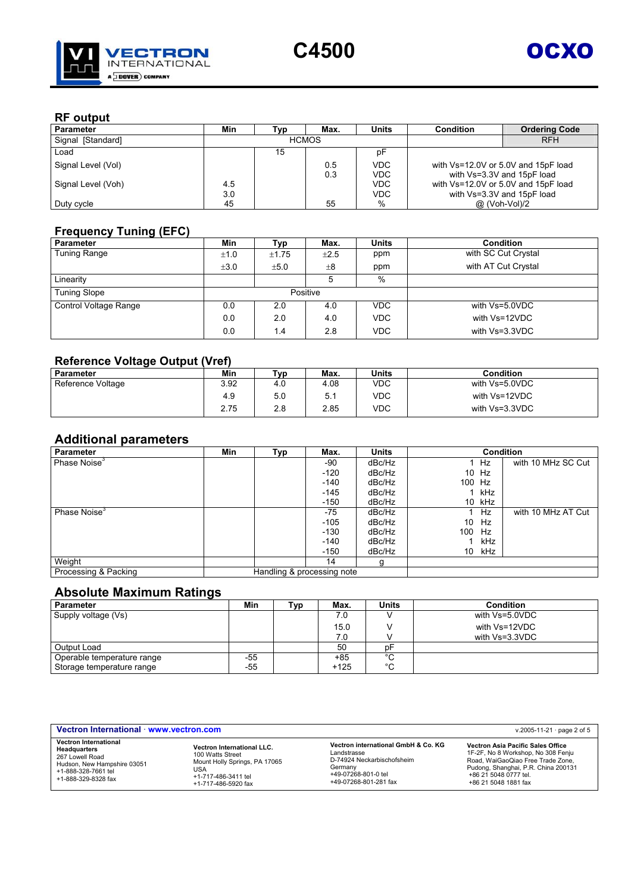



#### **RF output**

| <b>Parameter</b>   | Min | [vɒ | Max.         | <b>Units</b> | Condition                           | <b>Ordering Code</b> |
|--------------------|-----|-----|--------------|--------------|-------------------------------------|----------------------|
| Signal [Standard]  |     |     | <b>HCMOS</b> |              |                                     | <b>RFH</b>           |
| Load               |     | 15  |              | p⊦           |                                     |                      |
| Signal Level (Vol) |     |     | 0.5          | <b>VDC</b>   | with Vs=12.0V or 5.0V and 15pF load |                      |
|                    |     |     | 0.3          | VDC          | with Vs=3.3V and 15pF load          |                      |
| Signal Level (Voh) | 4.5 |     |              | <b>VDC</b>   | with Vs=12.0V or 5.0V and 15pF load |                      |
|                    | 3.0 |     |              | <b>VDC</b>   | with Vs=3.3V and 15pF load          |                      |
| Duty cycle         | 45  |     | 55           | %            | @ (Voh-Vol)/2                       |                      |

#### **Frequency Tuning (EFC)**

| <b>Parameter</b>      | Min       | Typ   | Max.      | <b>Units</b> | <b>Condition</b>    |
|-----------------------|-----------|-------|-----------|--------------|---------------------|
| <b>Tuning Range</b>   | ±1.0      | ±1.75 | $\pm 2.5$ | ppm          | with SC Cut Crystal |
|                       | $\pm 3.0$ | ±5.0  | $\pm 8$   | ppm          | with AT Cut Crystal |
| Linearity             |           |       | 5         | %            |                     |
| <b>Tuning Slope</b>   |           |       | Positive  |              |                     |
| Control Voltage Range | 0.0       | 2.0   | 4.0       | <b>VDC</b>   | with Vs=5.0VDC      |
|                       | 0.0       | 2.0   | 4.0       | <b>VDC</b>   | with Vs=12VDC       |
|                       | 0.0       | 1.4   | 2.8       | <b>VDC</b>   | with Vs=3.3VDC      |

#### **Reference Voltage Output (Vref)**

|                   | .    |     |      |            |                  |
|-------------------|------|-----|------|------------|------------------|
| Parameter         | Min  | ⊤ур | Max. | Units      | <b>Condition</b> |
| Reference Voltage | 3.92 | 4 G | 4.08 | <b>VDC</b> | with Vs=5.0VDC   |
|                   | 4.9  | 5.0 | 5.1  | VDC        | with Vs=12VDC    |
|                   | 2.75 | 2.8 | 2.85 | VDC        | with Vs=3.3VDC   |

### **Additional parameters**

| Parameter                | Min | Typ | Max.                       | <b>Units</b> |        |        | <b>Condition</b>   |
|--------------------------|-----|-----|----------------------------|--------------|--------|--------|--------------------|
| Phase Noise <sup>3</sup> |     |     | -90                        | dBc/Hz       |        | Hz.    | with 10 MHz SC Cut |
|                          |     |     | $-120$                     | dBc/Hz       |        | 10 Hz  |                    |
|                          |     |     | $-140$                     | dBc/Hz       | 100 Hz |        |                    |
|                          |     |     | $-145$                     | dBc/Hz       |        | kHz    |                    |
|                          |     |     | $-150$                     | dBc/Hz       |        | 10 kHz |                    |
| Phase Noise <sup>3</sup> |     |     | $-75$                      | dBc/Hz       |        | Hz     | with 10 MHz AT Cut |
|                          |     |     | $-105$                     | dBc/Hz       | 10     | Hz     |                    |
|                          |     |     | $-130$                     | dBc/Hz       | 100    | Hz     |                    |
|                          |     |     | $-140$                     | dBc/Hz       |        | kHz    |                    |
|                          |     |     | $-150$                     | dBc/Hz       | 10     | kHz    |                    |
| Weight                   |     |     | 14                         | g            |        |        |                    |
| Processing & Packing     |     |     | Handling & processing note |              |        |        |                    |

### **Absolute Maximum Ratings**

| <b>Parameter</b>           | Min | ⊤ур | Max.   | <b>Units</b> | <b>Condition</b> |
|----------------------------|-----|-----|--------|--------------|------------------|
| Supply voltage (Vs)        |     |     | 7.0    |              | with Vs=5.0VDC   |
|                            |     |     | 15.0   |              | with Vs=12VDC    |
|                            |     |     | 7.0    |              | with Vs=3.3VDC   |
| Output Load                |     |     | 50     | nF           |                  |
| Operable temperature range | -55 |     | +85    | °C           |                  |
| Storage temperature range  | -55 |     | $+125$ | °C           |                  |

| Vectron International · www.vectron.com |                                   |                                     | v.2005-11-21 $\cdot$ page 2 of 5    |
|-----------------------------------------|-----------------------------------|-------------------------------------|-------------------------------------|
| <b>Vectron International</b>            | <b>Vectron International LLC.</b> | Vectron international GmbH & Co. KG | Vectron Asia Pacific Sales Office   |
| Headquarters                            | 100 Watts Street                  | Landstrasse                         | 1F-2F, No 8 Workshop, No 308 Fenju  |
| 267 Lowell Road                         | Mount Holly Springs, PA 17065     | D-74924 Neckarbischofsheim          | Road, WaiGaoQiao Free Trade Zone,   |
| Hudson, New Hampshire 03051             | USA                               | Germany                             | Pudong, Shanghai, P.R. China 200131 |
| +1-888-328-7661 tel                     | +1-717-486-3411 tel               | +49-07268-801-0 tel                 | +86 21 5048 0777 tel.               |
| +1-888-329-8328 fax                     | +1-717-486-5920 fax               | +49-07268-801-281 fax               | +86 21 5048 1881 fax                |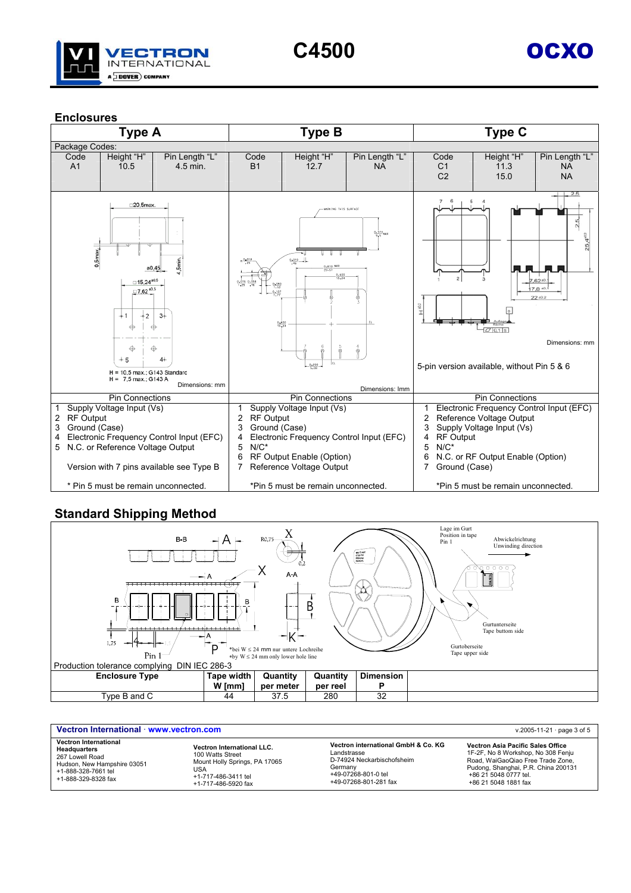

#### **Enclosures**



#### **Standard Shipping Method**



| Vectron International · www.vectron.com | v.2005-11-21 $\cdot$ page 3 of 5 |                                     |                                     |
|-----------------------------------------|----------------------------------|-------------------------------------|-------------------------------------|
| <b>Vectron International</b>            | Vectron International LLC.       | Vectron international GmbH & Co. KG | Vectron Asia Pacific Sales Office   |
| Headquarters                            | 100 Watts Street                 | Landstrasse                         | 1F-2F, No 8 Workshop, No 308 Fenju  |
| 267 Lowell Road                         | Mount Holly Springs, PA 17065    | D-74924 Neckarbischofsheim          | Road, WaiGaoQiao Free Trade Zone.   |
| Hudson, New Hampshire 03051             | USA                              | Germanv                             | Pudong, Shanghai, P.R. China 200131 |
| +1-888-328-7661 tel                     | +1-717-486-3411 tel              | +49-07268-801-0 tel                 | +86 21 5048 0777 tel.               |
| +1-888-329-8328 fax                     | +1-717-486-5920 fax              | +49-07268-801-281 fax               | +86 21 5048 1881 fax                |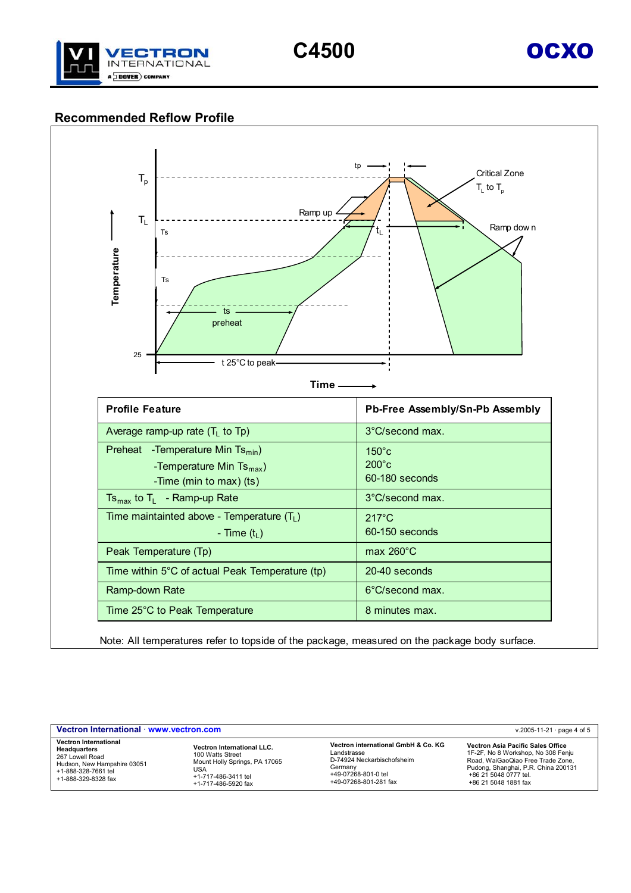

## **Recommended Reflow Profile**



Note: All temperatures refer to topside of the package, measured on the package body surface.

| Vectron International www.vectron.com<br>v.2005-11-21 $\cdot$ page 4 of 5                                                                    |                                                                                                                                             |                                                                                                                                             |                                                                                                                                                                                                      |  |  |
|----------------------------------------------------------------------------------------------------------------------------------------------|---------------------------------------------------------------------------------------------------------------------------------------------|---------------------------------------------------------------------------------------------------------------------------------------------|------------------------------------------------------------------------------------------------------------------------------------------------------------------------------------------------------|--|--|
| <b>Vectron International</b><br>Headquarters<br>267 Lowell Road<br>Hudson, New Hampshire 03051<br>+1-888-328-7661 tel<br>+1-888-329-8328 fax | <b>Vectron International LLC.</b><br>100 Watts Street<br>Mount Holly Springs, PA 17065<br>USA<br>+1-717-486-3411 tel<br>+1-717-486-5920 fax | Vectron international GmbH & Co. KG<br>Landstrasse<br>D-74924 Neckarbischofsheim<br>Germany<br>+49-07268-801-0 tel<br>+49-07268-801-281 fax | Vectron Asia Pacific Sales Office<br>1F-2F, No 8 Workshop, No 308 Fenju<br>Road, WaiGaoQiao Free Trade Zone,<br>Pudong, Shanghai, P.R. China 200131<br>+86 21 5048 0777 tel.<br>+86 21 5048 1881 fax |  |  |